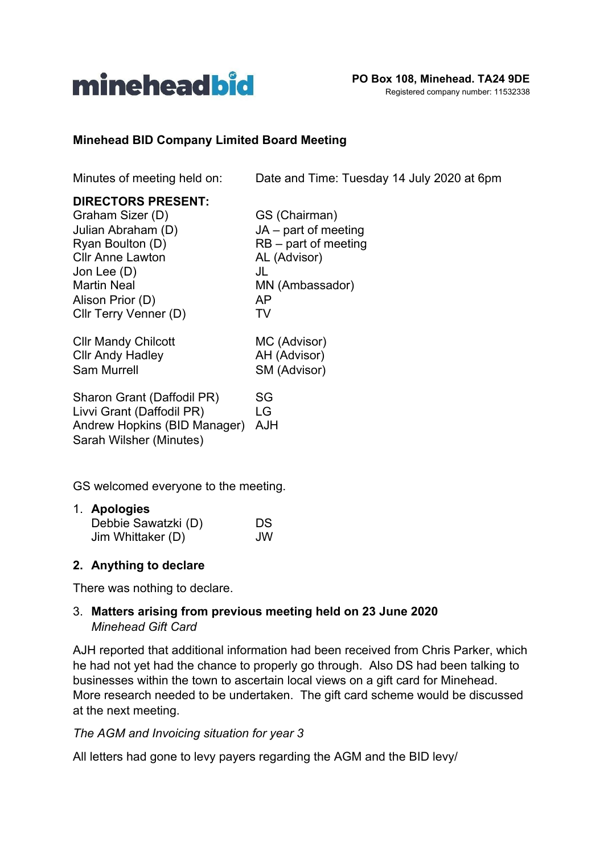

#### **Minehead BID Company Limited Board Meeting**

Minutes of meeting held on: Date and Time: Tuesday 14 July 2020 at 6pm

| <b>DIRECTORS PRESENT:</b><br>Graham Sizer (D)<br>Julian Abraham (D)<br>Ryan Boulton (D)<br><b>Cllr Anne Lawton</b><br>Jon Lee (D)<br><b>Martin Neal</b><br>Alison Prior (D)<br>Cllr Terry Venner (D) | GS (Chairman)<br>$JA - part of meeting$<br>$RB$ – part of meeting<br>AL (Advisor)<br>JL<br>MN (Ambassador)<br>AP<br>TV |
|------------------------------------------------------------------------------------------------------------------------------------------------------------------------------------------------------|------------------------------------------------------------------------------------------------------------------------|
| <b>CIIr Mandy Chilcott</b>                                                                                                                                                                           | MC (Advisor)                                                                                                           |
| <b>CIIr Andy Hadley</b>                                                                                                                                                                              | AH (Advisor)                                                                                                           |
| <b>Sam Murrell</b>                                                                                                                                                                                   | SM (Advisor)                                                                                                           |
| Sharon Grant (Daffodil PR)                                                                                                                                                                           | SG                                                                                                                     |
| Livvi Grant (Daffodil PR)                                                                                                                                                                            | LG                                                                                                                     |
| Andrew Hopkins (BID Manager)                                                                                                                                                                         | AJH                                                                                                                    |

GS welcomed everyone to the meeting.

| 1. Apologies        |    |
|---------------------|----|
| Debbie Sawatzki (D) | DS |
| Jim Whittaker (D)   | JW |

#### **2. Anything to declare**

Sarah Wilsher (Minutes)

There was nothing to declare.

#### 3. **Matters arising from previous meeting held on 23 June 2020** *Minehead Gift Card*

AJH reported that additional information had been received from Chris Parker, which he had not yet had the chance to properly go through. Also DS had been talking to businesses within the town to ascertain local views on a gift card for Minehead. More research needed to be undertaken. The gift card scheme would be discussed at the next meeting.

#### *The AGM and Invoicing situation for year 3*

All letters had gone to levy payers regarding the AGM and the BID levy/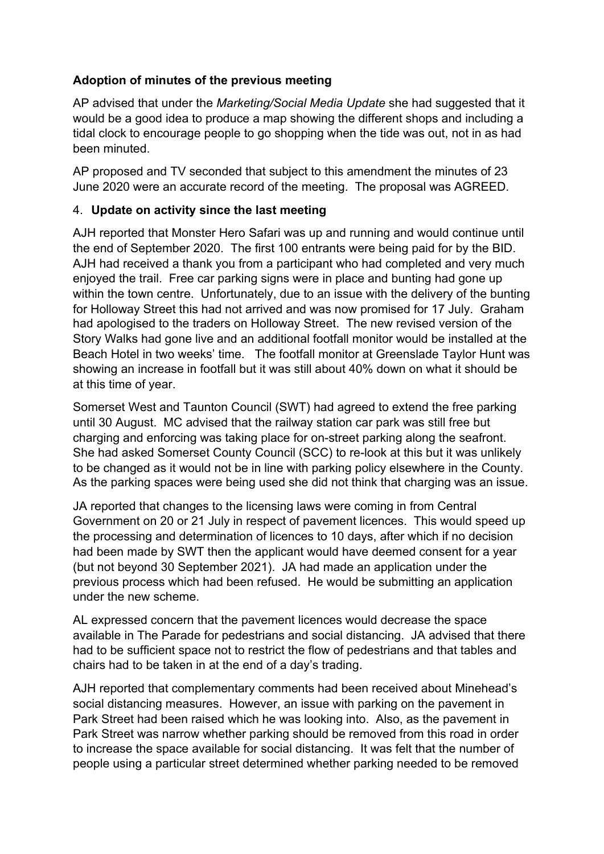# **Adoption of minutes of the previous meeting**

AP advised that under the *Marketing/Social Media Update* she had suggested that it would be a good idea to produce a map showing the different shops and including a tidal clock to encourage people to go shopping when the tide was out, not in as had been minuted.

AP proposed and TV seconded that subject to this amendment the minutes of 23 June 2020 were an accurate record of the meeting. The proposal was AGREED.

# 4. **Update on activity since the last meeting**

AJH reported that Monster Hero Safari was up and running and would continue until the end of September 2020. The first 100 entrants were being paid for by the BID. AJH had received a thank you from a participant who had completed and very much enjoyed the trail. Free car parking signs were in place and bunting had gone up within the town centre. Unfortunately, due to an issue with the delivery of the bunting for Holloway Street this had not arrived and was now promised for 17 July. Graham had apologised to the traders on Holloway Street. The new revised version of the Story Walks had gone live and an additional footfall monitor would be installed at the Beach Hotel in two weeks' time. The footfall monitor at Greenslade Taylor Hunt was showing an increase in footfall but it was still about 40% down on what it should be at this time of year.

Somerset West and Taunton Council (SWT) had agreed to extend the free parking until 30 August. MC advised that the railway station car park was still free but charging and enforcing was taking place for on-street parking along the seafront. She had asked Somerset County Council (SCC) to re-look at this but it was unlikely to be changed as it would not be in line with parking policy elsewhere in the County. As the parking spaces were being used she did not think that charging was an issue.

JA reported that changes to the licensing laws were coming in from Central Government on 20 or 21 July in respect of pavement licences. This would speed up the processing and determination of licences to 10 days, after which if no decision had been made by SWT then the applicant would have deemed consent for a year (but not beyond 30 September 2021). JA had made an application under the previous process which had been refused. He would be submitting an application under the new scheme.

AL expressed concern that the pavement licences would decrease the space available in The Parade for pedestrians and social distancing. JA advised that there had to be sufficient space not to restrict the flow of pedestrians and that tables and chairs had to be taken in at the end of a day's trading.

AJH reported that complementary comments had been received about Minehead's social distancing measures. However, an issue with parking on the pavement in Park Street had been raised which he was looking into. Also, as the pavement in Park Street was narrow whether parking should be removed from this road in order to increase the space available for social distancing. It was felt that the number of people using a particular street determined whether parking needed to be removed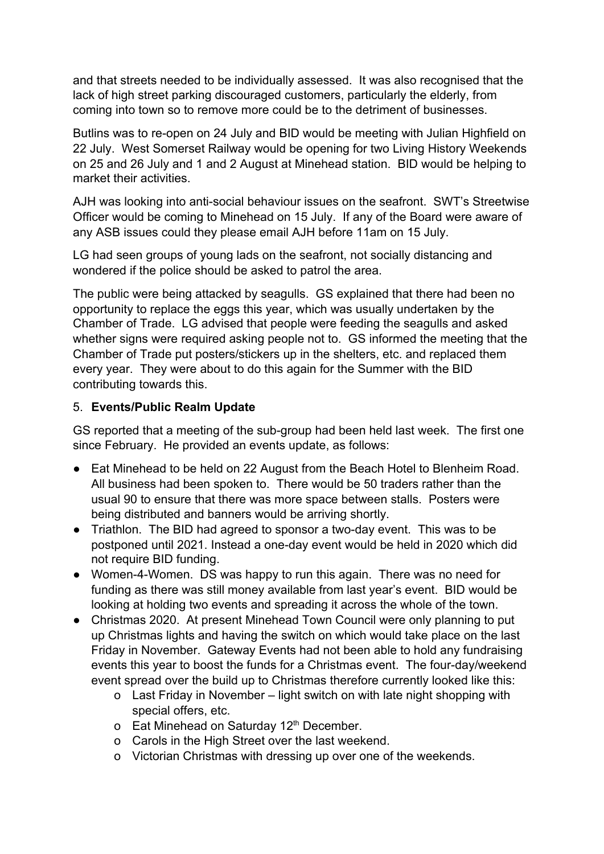and that streets needed to be individually assessed. It was also recognised that the lack of high street parking discouraged customers, particularly the elderly, from coming into town so to remove more could be to the detriment of businesses.

Butlins was to re-open on 24 July and BID would be meeting with Julian Highfield on 22 July. West Somerset Railway would be opening for two Living History Weekends on 25 and 26 July and 1 and 2 August at Minehead station. BID would be helping to market their activities.

AJH was looking into anti-social behaviour issues on the seafront. SWT's Streetwise Officer would be coming to Minehead on 15 July. If any of the Board were aware of any ASB issues could they please email AJH before 11am on 15 July.

LG had seen groups of young lads on the seafront, not socially distancing and wondered if the police should be asked to patrol the area.

The public were being attacked by seagulls. GS explained that there had been no opportunity to replace the eggs this year, which was usually undertaken by the Chamber of Trade. LG advised that people were feeding the seagulls and asked whether signs were required asking people not to. GS informed the meeting that the Chamber of Trade put posters/stickers up in the shelters, etc. and replaced them every year. They were about to do this again for the Summer with the BID contributing towards this.

# 5. **Events/Public Realm Update**

GS reported that a meeting of the sub-group had been held last week. The first one since February. He provided an events update, as follows:

- Eat Minehead to be held on 22 August from the Beach Hotel to Blenheim Road. All business had been spoken to. There would be 50 traders rather than the usual 90 to ensure that there was more space between stalls. Posters were being distributed and banners would be arriving shortly.
- Triathlon. The BID had agreed to sponsor a two-day event. This was to be postponed until 2021. Instead a one-day event would be held in 2020 which did not require BID funding.
- Women-4-Women. DS was happy to run this again. There was no need for funding as there was still money available from last year's event. BID would be looking at holding two events and spreading it across the whole of the town.
- Christmas 2020. At present Minehead Town Council were only planning to put up Christmas lights and having the switch on which would take place on the last Friday in November. Gateway Events had not been able to hold any fundraising events this year to boost the funds for a Christmas event. The four-day/weekend event spread over the build up to Christmas therefore currently looked like this:
	- o Last Friday in November light switch on with late night shopping with special offers, etc.
	- o Eat Minehead on Saturday 12<sup>th</sup> December.
	- o Carols in the High Street over the last weekend.
	- o Victorian Christmas with dressing up over one of the weekends.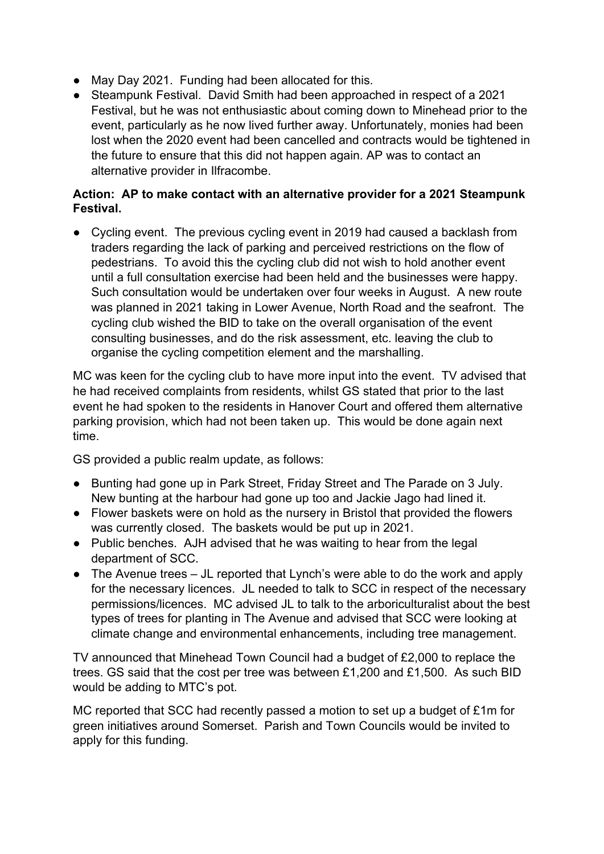- May Day 2021. Funding had been allocated for this.
- Steampunk Festival. David Smith had been approached in respect of a 2021 Festival, but he was not enthusiastic about coming down to Minehead prior to the event, particularly as he now lived further away. Unfortunately, monies had been lost when the 2020 event had been cancelled and contracts would be tightened in the future to ensure that this did not happen again. AP was to contact an alternative provider in Ilfracombe.

# **Action: AP to make contact with an alternative provider for a 2021 Steampunk Festival.**

● Cycling event. The previous cycling event in 2019 had caused a backlash from traders regarding the lack of parking and perceived restrictions on the flow of pedestrians. To avoid this the cycling club did not wish to hold another event until a full consultation exercise had been held and the businesses were happy. Such consultation would be undertaken over four weeks in August. A new route was planned in 2021 taking in Lower Avenue, North Road and the seafront. The cycling club wished the BID to take on the overall organisation of the event consulting businesses, and do the risk assessment, etc. leaving the club to organise the cycling competition element and the marshalling.

MC was keen for the cycling club to have more input into the event. TV advised that he had received complaints from residents, whilst GS stated that prior to the last event he had spoken to the residents in Hanover Court and offered them alternative parking provision, which had not been taken up. This would be done again next time.

GS provided a public realm update, as follows:

- Bunting had gone up in Park Street, Friday Street and The Parade on 3 July. New bunting at the harbour had gone up too and Jackie Jago had lined it.
- Flower baskets were on hold as the nursery in Bristol that provided the flowers was currently closed. The baskets would be put up in 2021.
- Public benches. AJH advised that he was waiting to hear from the legal department of SCC.
- The Avenue trees JL reported that Lynch's were able to do the work and apply for the necessary licences. JL needed to talk to SCC in respect of the necessary permissions/licences. MC advised JL to talk to the arboriculturalist about the best types of trees for planting in The Avenue and advised that SCC were looking at climate change and environmental enhancements, including tree management.

TV announced that Minehead Town Council had a budget of £2,000 to replace the trees. GS said that the cost per tree was between £1,200 and £1,500. As such BID would be adding to MTC's pot.

MC reported that SCC had recently passed a motion to set up a budget of £1m for green initiatives around Somerset. Parish and Town Councils would be invited to apply for this funding.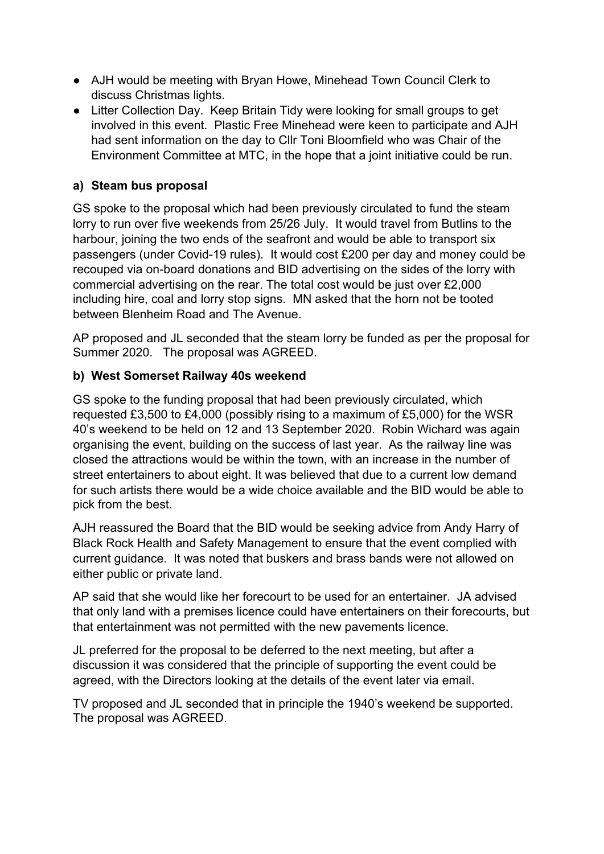- AJH would be meeting with Bryan Howe, Minehead Town Council Clerk to discuss Christmas lights.
- Litter Collection Day. Keep Britain Tidy were looking for small groups to get involved in this event. Plastic Free Minehead were keen to participate and AJH had sent information on the day to Cllr Toni Bloomfield who was Chair of the Environment Committee at MTC, in the hope that a joint initiative could be run.

# **a) Steam bus proposal**

GS spoke to the proposal which had been previously circulated to fund the steam lorry to run over five weekends from 25/26 July. It would travel from Butlins to the harbour, joining the two ends of the seafront and would be able to transport six passengers (under Covid-19 rules). It would cost £200 per day and money could be recouped via on-board donations and BID advertising on the sides of the lorry with commercial advertising on the rear. The total cost would be just over £2,000 including hire, coal and lorry stop signs. MN asked that the horn not be tooted between Blenheim Road and The Avenue.

AP proposed and JL seconded that the steam lorry be funded as per the proposal for Summer 2020. The proposal was AGREED.

# **b) West Somerset Railway 40s weekend**

GS spoke to the funding proposal that had been previously circulated, which requested £3,500 to £4,000 (possibly rising to a maximum of £5,000) for the WSR 40's weekend to be held on 12 and 13 September 2020. Robin Wichard was again organising the event, building on the success of last year. As the railway line was closed the attractions would be within the town, with an increase in the number of street entertainers to about eight. It was believed that due to a current low demand for such artists there would be a wide choice available and the BID would be able to pick from the best.

AJH reassured the Board that the BID would be seeking advice from Andy Harry of Black Rock Health and Safety Management to ensure that the event complied with current guidance. It was noted that buskers and brass bands were not allowed on either public or private land.

AP said that she would like her forecourt to be used for an entertainer. JA advised that only land with a premises licence could have entertainers on their forecourts, but that entertainment was not permitted with the new pavements licence.

JL preferred for the proposal to be deferred to the next meeting, but after a discussion it was considered that the principle of supporting the event could be agreed, with the Directors looking at the details of the event later via email.

TV proposed and JL seconded that in principle the 1940's weekend be supported. The proposal was AGREED.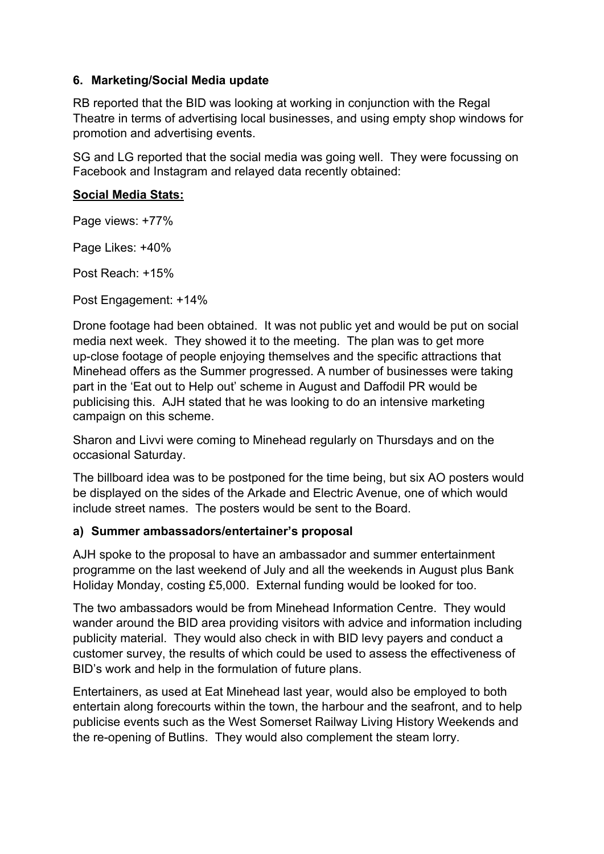#### **6. Marketing/Social Media update**

RB reported that the BID was looking at working in conjunction with the Regal Theatre in terms of advertising local businesses, and using empty shop windows for promotion and advertising events.

SG and LG reported that the social media was going well. They were focussing on Facebook and Instagram and relayed data recently obtained:

#### **Social Media Stats:**

Page views: +77%

Page Likes: +40%

Post Reach: +15%

Post Engagement: +14%

Drone footage had been obtained. It was not public yet and would be put on social media next week. They showed it to the meeting. The plan was to get more up-close footage of people enjoying themselves and the specific attractions that Minehead offers as the Summer progressed. A number of businesses were taking part in the 'Eat out to Help out' scheme in August and Daffodil PR would be publicising this. AJH stated that he was looking to do an intensive marketing campaign on this scheme.

Sharon and Livvi were coming to Minehead regularly on Thursdays and on the occasional Saturday.

The billboard idea was to be postponed for the time being, but six AO posters would be displayed on the sides of the Arkade and Electric Avenue, one of which would include street names. The posters would be sent to the Board.

#### **a) Summer ambassadors/entertainer's proposal**

AJH spoke to the proposal to have an ambassador and summer entertainment programme on the last weekend of July and all the weekends in August plus Bank Holiday Monday, costing £5,000. External funding would be looked for too.

The two ambassadors would be from Minehead Information Centre. They would wander around the BID area providing visitors with advice and information including publicity material. They would also check in with BID levy payers and conduct a customer survey, the results of which could be used to assess the effectiveness of BID's work and help in the formulation of future plans.

Entertainers, as used at Eat Minehead last year, would also be employed to both entertain along forecourts within the town, the harbour and the seafront, and to help publicise events such as the West Somerset Railway Living History Weekends and the re-opening of Butlins. They would also complement the steam lorry.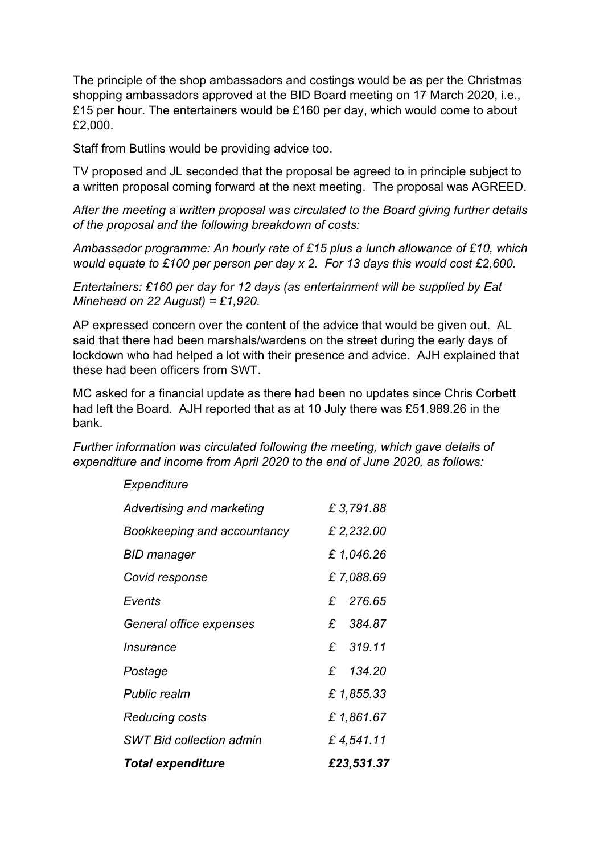The principle of the shop ambassadors and costings would be as per the Christmas shopping ambassadors approved at the BID Board meeting on 17 March 2020, i.e., £15 per hour. The entertainers would be £160 per day, which would come to about £2,000.

Staff from Butlins would be providing advice too.

TV proposed and JL seconded that the proposal be agreed to in principle subject to a written proposal coming forward at the next meeting. The proposal was AGREED.

*After the meeting a written proposal was circulated to the Board giving further details of the proposal and the following breakdown of costs:*

*Ambassador programme: An hourly rate of £15 plus a lunch allowance of £10, which would equate to £100 per person per day x 2. For 13 days this would cost £2,600.*

*Entertainers: £160 per day for 12 days (as entertainment will be supplied by Eat Minehead on 22 August) = £1,920.*

AP expressed concern over the content of the advice that would be given out. AL said that there had been marshals/wardens on the street during the early days of lockdown who had helped a lot with their presence and advice. AJH explained that these had been officers from SWT.

MC asked for a financial update as there had been no updates since Chris Corbett had left the Board. AJH reported that as at 10 July there was £51,989.26 in the bank.

*Further information was circulated following the meeting, which gave details of expenditure and income from April 2020 to the end of June 2020, as follows:*

| <b>Total expenditure</b>        | £23,531.37 |
|---------------------------------|------------|
| <b>SWT Bid collection admin</b> | £4,541.11  |
| <b>Reducing costs</b>           | £ 1,861.67 |
| <b>Public realm</b>             | £1,855.33  |
| Postage                         | £ 134.20   |
| <i><u><b>Insurance</b></u></i>  | £ 319.11   |
| General office expenses         | £ 384.87   |
| Events                          | £ 276.65   |
| Covid response                  | £7,088.69  |
| <b>BID manager</b>              | £1,046.26  |
| Bookkeeping and accountancy     | £ 2,232.00 |
| Advertising and marketing       | £3,791.88  |
| Expenditure                     |            |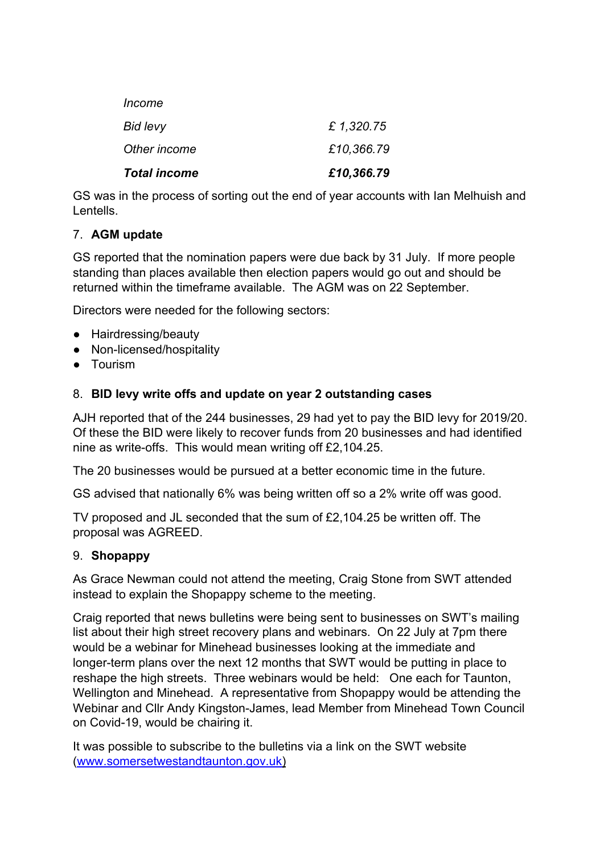| <b>Total income</b> | £10,366.79 |
|---------------------|------------|
| Other income        | £10,366.79 |
| Bid levy            | £1,320.75  |
| Income              |            |

GS was in the process of sorting out the end of year accounts with Ian Melhuish and Lentells.

# 7. **AGM update**

GS reported that the nomination papers were due back by 31 July. If more people standing than places available then election papers would go out and should be returned within the timeframe available. The AGM was on 22 September.

Directors were needed for the following sectors:

- Hairdressing/beauty
- Non-licensed/hospitality
- Tourism

# 8. **BID levy write offs and update on year 2 outstanding cases**

AJH reported that of the 244 businesses, 29 had yet to pay the BID levy for 2019/20. Of these the BID were likely to recover funds from 20 businesses and had identified nine as write-offs. This would mean writing off £2,104.25.

The 20 businesses would be pursued at a better economic time in the future.

GS advised that nationally 6% was being written off so a 2% write off was good.

TV proposed and JL seconded that the sum of £2,104.25 be written off. The proposal was AGREED.

#### 9. **Shopappy**

As Grace Newman could not attend the meeting, Craig Stone from SWT attended instead to explain the Shopappy scheme to the meeting.

Craig reported that news bulletins were being sent to businesses on SWT's mailing list about their high street recovery plans and webinars. On 22 July at 7pm there would be a webinar for Minehead businesses looking at the immediate and longer-term plans over the next 12 months that SWT would be putting in place to reshape the high streets. Three webinars would be held: One each for Taunton, Wellington and Minehead. A representative from Shopappy would be attending the Webinar and Cllr Andy Kingston-James, lead Member from Minehead Town Council on Covid-19, would be chairing it.

It was possible to subscribe to the bulletins via a link on the SWT website [\(www.somersetwestandtaunton.gov.uk](http://www.somersetwestandtaunton.gov.uk/))